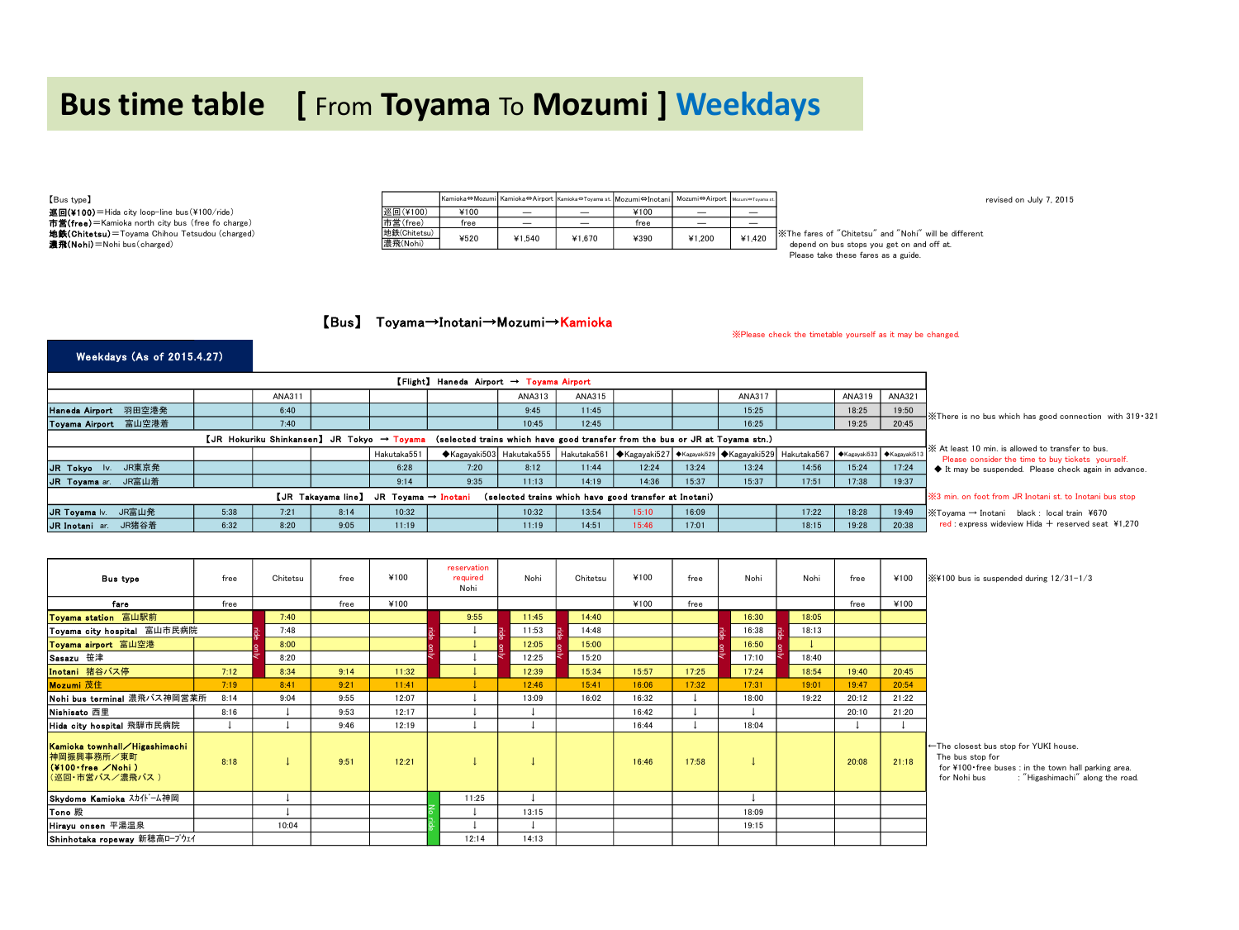# **Bus time table [** From **Toyama** To **Mozumi ] Weekdays**

| [Bus type]                                            |              |      |        |                          | Kamioka⇔Mozumi Kamioka⇔Airport Kamioka⇔Toyama st. Mozumi⇔Inotani Mozumi⇔Airport Mozumi⇔Toyama st. |        |        | revised on July 7, 2015                                                                |
|-------------------------------------------------------|--------------|------|--------|--------------------------|---------------------------------------------------------------------------------------------------|--------|--------|----------------------------------------------------------------------------------------|
| 巡回(¥100)=Hida city loop-line bus(¥100/ride)           | 巡回(¥100)     | ¥100 | -      | $\overline{\phantom{0}}$ | ¥100                                                                                              | —      | _      |                                                                                        |
| 市営(free)=Kamioka north city bus (free fo charge)      | 市営(free)     | tree |        | $\overline{\phantom{0}}$ | ree                                                                                               | —      | _      |                                                                                        |
| <b>地鉄(Chitetsu)</b> =Tovama Chihou Tetsudou (charged) | 地鉄(Chitetsu) | ¥520 | ¥1.540 | ¥1.670                   | ¥390                                                                                              | ¥1.200 | ¥1.420 | X The fares of "Chitetsu" and "Nohi" will be different                                 |
| 濃飛(Nohi) = Nohi bus (charged)                         | 濃飛(Nohi)     |      |        |                          |                                                                                                   |        |        | depend on bus stops you get on and off at.<br>Discord Added Abraha fancy and a politic |

Please take these fares as a guide.

※Please check the timetable yourself as it may be changed.

### 【Bus】 Toyama→Inotani→Mozumi→Kamioka

#### Weekdays (As of 2015.4.27)

|                      |                                                                                                                                       |      | ANA311 |      |             |      | ANA313 | ANA315 |                                                                                                                   |       | ANA317 |       | ANA319 | ANA321 |                                                                                                         |
|----------------------|---------------------------------------------------------------------------------------------------------------------------------------|------|--------|------|-------------|------|--------|--------|-------------------------------------------------------------------------------------------------------------------|-------|--------|-------|--------|--------|---------------------------------------------------------------------------------------------------------|
| Haneda Airport 羽田空港発 |                                                                                                                                       |      | 6:40   |      |             |      | 9:45   | 11:45  |                                                                                                                   |       | 15:25  |       | 18:25  | 19:50  | $\frac{1}{2}$ . There is no bus which has good connection with 319 $\cdot$ 321                          |
| Toyama Airport 富山空港着 |                                                                                                                                       |      | 7:40   |      |             |      | 10:45  | 12:45  |                                                                                                                   |       | 16:25  |       | 19:25  | 20:45  |                                                                                                         |
|                      | $[JR$ Hokuriku Shinkansen] JR Tokyo $\rightarrow$ Toyama (selected trains which have good transfer from the bus or JR at Toyama stn.) |      |        |      |             |      |        |        |                                                                                                                   |       |        |       |        |        |                                                                                                         |
|                      |                                                                                                                                       |      |        |      | Hakutaka551 |      |        |        | ◆Kagayaki503 Hakutaka555 Hakutaka561 ◆Kagayaki527 ◆Kagayaki529 ◆Kagayaki529 Hakutaka567 →Kagayaki533 ◆Kagayaki513 |       |        |       |        |        | XX At least 10 min, is allowed to transfer to bus.<br>Please consider the time to buy tickets vourself. |
| JR Tokyo Iv.         | JR東京発                                                                                                                                 |      |        |      | 6:28        | 7:20 | 8:12   | 11:44  | 12:24                                                                                                             | 13:24 | 13:24  | 14:56 | 15:24  | 17:24  | It may be suspended. Please check again in advance.                                                     |
| JR Toyama ar.        | JR富山着                                                                                                                                 |      |        |      | 9:14        | 9:35 | 11:13  | 14:19  | 14:36                                                                                                             | 15:37 | 15:37  | 17:51 | 17:38  | 19:37  |                                                                                                         |
|                      | [JR Takayama line] JR Toyama → Inotani<br>(selected trains which have good transfer at Inotani)                                       |      |        |      |             |      |        |        |                                                                                                                   |       |        |       |        |        | <b>※3</b> min, on foot from JR Inotani st, to Inotani bus stop                                          |
| JR Toyama Iv.        | JR富山発                                                                                                                                 | 5:38 | 7:21   | 8:14 | 10:32       |      | 10:32  | 13:54  | 15:10                                                                                                             | 16:09 |        | 17:22 | 18:28  | 19:49  | $\frac{1}{2}$ Toyama $\rightarrow$ Inotani black : local train ¥670                                     |
| JR Inotani ar.       | JR猪谷着                                                                                                                                 | 6:32 | 8:20   | 9:05 | 11:19       |      | 11:19  | 14:51  | 15:46                                                                                                             | 17:01 |        | 18:15 | 19:28  | 20:38  | red : express wideview Hida $+$ reserved seat ¥1.270                                                    |

| <b>Bus type</b>                                                                               | free | Chitetsu | free | ¥100  | reservation<br>required<br>Nohi | Nohi  | Chitetsu | ¥100  | free  | Nohi  | Nohi  | free  | ¥100  | $\frac{1}{2}$ X¥100 bus is suspended during $12/31 - 1/3$                                                                                                            |
|-----------------------------------------------------------------------------------------------|------|----------|------|-------|---------------------------------|-------|----------|-------|-------|-------|-------|-------|-------|----------------------------------------------------------------------------------------------------------------------------------------------------------------------|
| fare                                                                                          | free |          | free | ¥100  |                                 |       |          | ¥100  | free  |       |       | free  | ¥100  |                                                                                                                                                                      |
| Toyama station 富山駅前                                                                           |      | 7:40     |      |       | 9:55                            | 11:45 | 14:40    |       |       | 16:30 | 18:05 |       |       |                                                                                                                                                                      |
| Toyama city hospital 富山市民病院                                                                   |      | 7:48     |      |       |                                 | 11:53 | 14:48    |       |       | 16:38 | 18:13 |       |       |                                                                                                                                                                      |
| Toyama airport 富山空港                                                                           |      | 8:00     |      |       |                                 | 12:05 | 15:00    |       |       | 16:50 |       |       |       |                                                                                                                                                                      |
| Sasazu 笹津                                                                                     |      | 8:20     |      |       |                                 | 12:25 | 15:20    |       |       | 17:10 | 18:40 |       |       |                                                                                                                                                                      |
| Inotani 猪谷バス停                                                                                 | 7:12 | 8:34     | 9:14 | 11:32 |                                 | 12:39 | 15:34    | 15:57 | 17:25 | 17:24 | 18:54 | 19:40 | 20:45 |                                                                                                                                                                      |
| Mozumi 茂住                                                                                     | 7:19 | 8:41     | 9:21 | 11:41 |                                 | 12:46 | 15:41    | 16:06 | 17:32 | 17:31 | 19:01 | 19:47 | 20:54 |                                                                                                                                                                      |
| Nohi bus terminal 濃飛バス神岡営業所                                                                   | 8:14 | 9:04     | 9:55 | 12:07 |                                 | 13:09 | 16:02    | 16:32 |       | 18:00 | 19:22 | 20:12 | 21:22 |                                                                                                                                                                      |
| Nishisato 西里                                                                                  | 8:16 |          | 9:53 | 12:17 |                                 |       |          | 16:42 |       |       |       | 20:10 | 21:20 |                                                                                                                                                                      |
| Hida city hospital 飛騨市民病院                                                                     |      |          | 9:46 | 12:19 |                                 |       |          | 16:44 |       | 18:04 |       |       |       |                                                                                                                                                                      |
| Kamioka townhall/Higashimachi<br>神岡振興事務所/東町<br>$($ ¥100 free $\angle$ Nohi)<br>(巡回・市営バス/濃飛バス) | 8:18 |          | 9:51 | 12:21 |                                 |       |          | 16:46 | 17:58 |       |       | 20:08 | 21:18 | ←The closest bus stop for YUKI house.<br>The bus stop for<br>for ¥100 free buses : in the town hall parking area.<br>for Nohi bus<br>: "Higashimachi" along the road |
| Skydome Kamioka スカイト 一ム神岡                                                                     |      |          |      |       | 11:25                           |       |          |       |       |       |       |       |       |                                                                                                                                                                      |
| Tono 殿                                                                                        |      |          |      |       |                                 | 13:15 |          |       |       | 18:09 |       |       |       |                                                                                                                                                                      |
| Hirayu onsen 平湯温泉                                                                             |      | 10:04    |      |       |                                 |       |          |       |       | 19:15 |       |       |       |                                                                                                                                                                      |
| Shinhotaka ropeway 新穂高ロープウェイ                                                                  |      |          |      |       | 12:14                           | 14:13 |          |       |       |       |       |       |       |                                                                                                                                                                      |